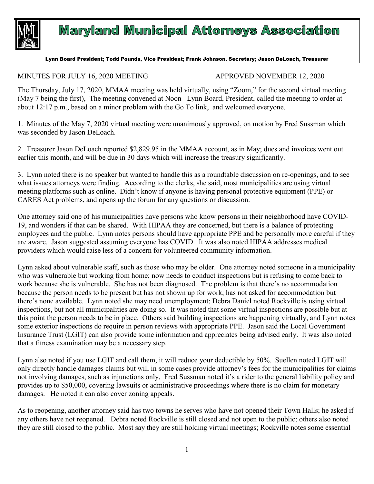

## **Maryland Municipal Attorneys Association**

## Lynn Board President; Todd Pounds, Vice President; Frank Johnson, Secretary; Jason DeLoach, Treasurer

## MINUTES FOR JULY 16, 2020 MEETING APPROVED NOVEMBER 12, 2020

The Thursday, July 17, 2020, MMAA meeting was held virtually, using "Zoom," for the second virtual meeting (May 7 being the first), The meeting convened at Noon Lynn Board, President, called the meeting to order at about 12:17 p.m., based on a minor problem with the Go To link, and welcomed everyone.

1. Minutes of the May 7, 2020 virtual meeting were unanimously approved, on motion by Fred Sussman which was seconded by Jason DeLoach.

2. Treasurer Jason DeLoach reported \$2,829.95 in the MMAA account, as in May; dues and invoices went out earlier this month, and will be due in 30 days which will increase the treasury significantly.

3. Lynn noted there is no speaker but wanted to handle this as a roundtable discussion on re-openings, and to see what issues attorneys were finding. According to the clerks, she said, most municipalities are using virtual meeting platforms such as online. Didn't know if anyone is having personal protective equipment (PPE) or CARES Act problems, and opens up the forum for any questions or discussion.

One attorney said one of his municipalities have persons who know persons in their neighborhood have COVID-19, and wonders if that can be shared. With HIPAA they are concerned, but there is a balance of protecting employees and the public. Lynn notes persons should have appropriate PPE and be personally more careful if they are aware. Jason suggested assuming everyone has COVID. It was also noted HIPAA addresses medical providers which would raise less of a concern for volunteered community information.

Lynn asked about vulnerable staff, such as those who may be older. One attorney noted someone in a municipality who was vulnerable but working from home; now needs to conduct inspections but is refusing to come back to work because she is vulnerable. She has not been diagnosed. The problem is that there's no accommodation because the person needs to be present but has not shown up for work; has not asked for accommodation but there's none available. Lynn noted she may need unemployment; Debra Daniel noted Rockville is using virtual inspections, but not all municipalities are doing so. It was noted that some virtual inspections are possible but at this point the person needs to be in place. Others said building inspections are happening virtually, and Lynn notes some exterior inspections do require in person reviews with appropriate PPE. Jason said the Local Government Insurance Trust (LGIT) can also provide some information and appreciates being advised early. It was also noted that a fitness examination may be a necessary step.

Lynn also noted if you use LGIT and call them, it will reduce your deductible by 50%. Suellen noted LGIT will only directly handle damages claims but will in some cases provide attorney's fees for the municipalities for claims not involving damages, such as injunctions only, Fred Sussman noted it's a rider to the general liability policy and provides up to \$50,000, covering lawsuits or administrative proceedings where there is no claim for monetary damages. He noted it can also cover zoning appeals.

As to reopening, another attorney said has two towns he serves who have not opened their Town Halls; he asked if any others have not reopened. Debra noted Rockville is still closed and not open to the public; others also noted they are still closed to the public. Most say they are still holding virtual meetings; Rockville notes some essential